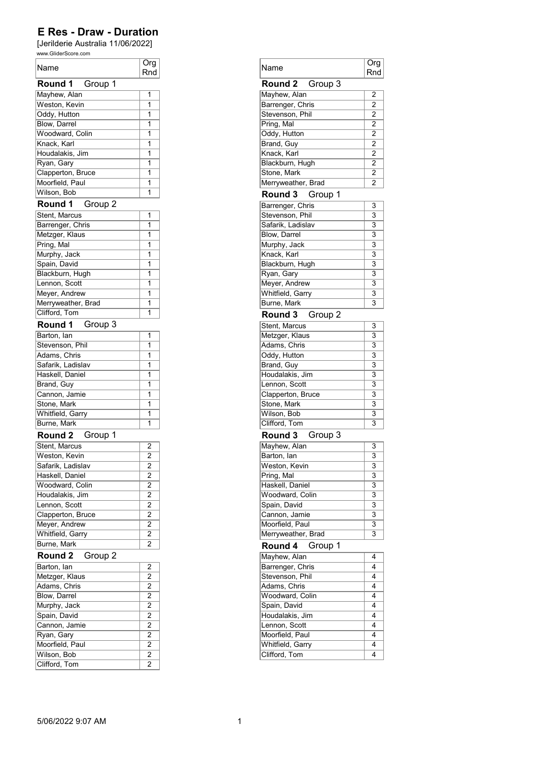| Name                                | Org<br>Rnd     |
|-------------------------------------|----------------|
| Group 1<br>Round 1                  |                |
| Mayhew, Alan                        | 1              |
| Weston, Kevin                       | 1              |
| Oddy, Hutton                        | 1              |
| Blow, Darrel                        | 1              |
| Woodward, Colin                     | 1              |
| Knack, Karl                         | 1              |
| Houdalakis, Jim                     | 1              |
| Ryan, Gary                          | 1              |
| Clapperton, Bruce                   | 1              |
| Moorfield, Paul                     | 1              |
| Wilson, Bob                         | 1              |
| Group 2<br>Round 1                  |                |
| Stent, Marcus                       | 1              |
| Barrenger, Chris                    | 1              |
| Metzger, Klaus                      | 1              |
| Pring, Mal                          | 1              |
| Murphy, Jack                        | 1              |
| Spain, David                        | 1              |
| Blackburn, Hugh                     | 1              |
| Lennon, Scott                       | 1              |
|                                     | 1              |
| Meyer, Andrew<br>Merryweather, Brad | 1              |
| Clifford, Tom                       | 1              |
|                                     |                |
| Round 1<br>Group 3                  |                |
| Barton, Ian                         | 1              |
| Stevenson, Phil                     | 1              |
| Adams, Chris                        | 1              |
| Safarik, Ladislav                   | 1              |
| Haskell, Daniel                     | 1              |
| Brand, Guy                          | 1              |
| Cannon, Jamie                       | 1              |
| Stone, Mark                         | 1              |
| Whitfield, Garry                    | 1              |
| Burne, Mark                         | 1              |
| Round 2<br>Group 1                  |                |
| Stent, Marcus                       | $\overline{2}$ |
| Weston, Kevin                       | $\overline{2}$ |
| Safarik, Ladislav                   | $\overline{2}$ |
| Haskell, Daniel                     | $\overline{2}$ |
| Woodward, Colin                     | 2              |
| Houdalakis, Jim                     | $\overline{2}$ |
| Lennon, Scott                       | 2              |
| Clapperton, Bruce                   | $\overline{c}$ |
| Meyer, Andrew                       | $\overline{2}$ |
| Whitfield, Garry                    | 2              |
| Burne, Mark                         | $\overline{2}$ |
| Round 2<br>Group 2                  |                |
| Barton, lan                         | $\overline{2}$ |
| Metzger, Klaus                      | $\overline{2}$ |
| Adams, Chris                        | 2              |
| Blow, Darrel                        | 2              |
| Murphy, Jack                        | $\overline{2}$ |
| Spain, David                        | 2              |
| Cannon, Jamie                       | $\overline{2}$ |
| Ryan, Gary                          | 2              |
| Moorfield, Paul                     | 2              |
| Wilson, Bob                         | $\overline{2}$ |
| Clifford, Tom                       | 2              |

| Name                              | Org<br>Rnd              |
|-----------------------------------|-------------------------|
| Group 3<br>Round 2                |                         |
| Mayhew, Alan                      | 2                       |
| Barrenger, Chris                  | 2                       |
| Stevenson, Phil                   | $\overline{2}$          |
| Pring, Mal                        | 2                       |
| Oddy, Hutton                      | 2                       |
| Brand, Guy                        | 2                       |
| Knack, Karl                       | 2                       |
| Blackburn, Hugh                   | $\overline{2}$          |
| Stone, Mark                       | 2                       |
|                                   | 2                       |
| Merryweather, Brad                |                         |
| Round 3<br>Group 1                |                         |
| Barrenger, Chris                  | 3                       |
| Stevenson, Phil                   | 3                       |
| Safarik, Ladislav                 | 3                       |
| Blow, Darrel                      | 3                       |
| Murphy, Jack                      | $\overline{\mathbf{3}}$ |
| Knack, Karl                       | 3                       |
| Blackburn, Hugh                   | $\overline{3}$          |
|                                   | 3                       |
| Ryan, Gary                        | 3                       |
| Meyer, Andrew                     |                         |
| Whitfield, Garry                  | $\overline{3}$          |
| Burne, Mark                       | $\overline{3}$          |
| Round 3<br>Group 2                |                         |
| Stent, Marcus                     | 3                       |
| Metzger, Klaus                    | 3                       |
| Adams, Chris                      | 3                       |
| Oddy, Hutton                      | 3                       |
|                                   |                         |
| Brand, Guy                        | 3                       |
| Houdalakis, Jim                   | $\overline{3}$          |
| Lennon, Scott                     | 3                       |
| Clapperton, Bruce                 | 3                       |
| Stone, Mark                       | 3                       |
| Wilson, Bob                       | 3                       |
| Clifford, Tom                     | $\overline{3}$          |
| Round 3<br>Group 3                |                         |
|                                   |                         |
| Mayhew, Alan                      | 3                       |
| Barton, lan                       | $\overline{3}$          |
| Weston, Kevin                     | 3                       |
| Pring, Mal                        | 3                       |
| Haskell, Daniel                   | 3                       |
| Woodward, Colin                   | 3                       |
| Spain, David                      | 3                       |
| Cannon, Jamie                     | 3                       |
| Moorfield, Paul                   | 3                       |
| Merryweather, Brad                | 3                       |
| Round 4<br>Group 1                |                         |
|                                   |                         |
| Mayhew, Alan                      | 4                       |
| Barrenger, Chris                  | 4                       |
| Stevenson, Phil                   | 4                       |
|                                   | 4                       |
| Adams, Chris                      |                         |
| Woodward, Colin                   |                         |
| Spain, David                      |                         |
| Houdalakis, Jim                   | 4<br>4<br>4             |
| Lennon, Scott                     | 4                       |
|                                   | 4                       |
| Moorfield, Paul                   | 4                       |
| Whitfield, Garry<br>Clifford, Tom | 4                       |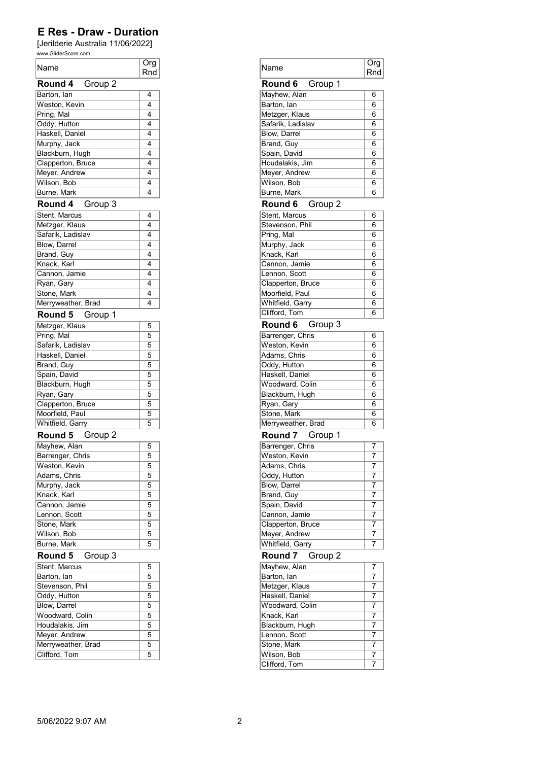| Name                | Org<br>Rnd     |
|---------------------|----------------|
| Group 2<br>Round 4  |                |
| Barton, lan         | 4              |
| Weston, Kevin       | 4              |
| Pring, Mal          | 4              |
| Oddy, Hutton        | 4              |
| Haskell, Daniel     | 4              |
| Murphy, Jack        | 4              |
| Blackburn, Hugh     | 4              |
| Clapperton, Bruce   | 4              |
| Meyer, Andrew       | 4              |
| Wilson, Bob         | 4              |
| Burne, Mark         | 4              |
| Group 3<br>Round 4  |                |
| Stent, Marcus       | 4              |
| Metzger, Klaus      | 4              |
| Safarik, Ladislav   | 4              |
| Blow, Darrel        | 4              |
| Brand, Guy          | 4              |
| Knack, Karl         | 4              |
| Cannon, Jamie       | 4              |
| Ryan, Gary          | 4              |
| Stone, Mark         | 4              |
| Merryweather, Brad  | 4              |
| Round 5<br>Group 1  |                |
| Metzger, Klaus      | 5              |
| Pring, Mal          | 5              |
| Safarik, Ladislav   | 5              |
| Haskell, Daniel     | 5              |
| Brand, Guy          | 5              |
| Spain, David        | 5              |
| Blackburn, Hugh     | 5              |
| Ryan, Gary          | 5              |
| Clapperton, Bruce   | 5              |
| Moorfield, Paul     | 5              |
| Whitfield, Garry    | 5              |
| Group 2<br>Round 5  |                |
| Mayhew, Alan        | 5              |
| Barrenger, Chris    | $\overline{5}$ |
| Weston, Kevin       | 5              |
| Adams, Chris        | 5              |
| Murphy, Jack        | 5              |
| Knack, Karl         | $\overline{5}$ |
| Cannon, Jamie       | 5              |
| Lennon, Scott       | 5              |
| Stone, Mark         | 5              |
| Wilson, Bob         | 5              |
| Burne, Mark         | 5              |
| Round 5<br>Group 3  |                |
| Stent, Marcus       | 5              |
| Barton, lan         | 5              |
| Stevenson, Phil     | 5              |
| Oddy, Hutton        | 5              |
| <b>Blow, Darrel</b> | $\overline{5}$ |
| Woodward, Colin     | 5              |
| Houdalakis, Jim     | $\overline{5}$ |
| Meyer, Andrew       | $\overline{5}$ |
| Merryweather, Brad  | 5              |
| Clifford, Tom       | $\overline{5}$ |

| Rnd | Name                         | Org<br>Rnd     |
|-----|------------------------------|----------------|
|     | Group 1<br>Round 6           |                |
| 4   | Mayhew, Alan                 | 6              |
| 4   | Barton, lan                  | 6              |
| 4   | Metzger, Klaus               | 6              |
| 4   | Safarik, Ladislav            | 6              |
| 4   | Blow, Darrel                 | 6              |
| 4   | Brand, Guy                   | 6              |
| 4   | Spain, David                 | 6              |
| 4   |                              | 6              |
|     | Houdalakis, Jim              |                |
| 4   | Meyer, Andrew                | 6              |
| 4   | Wilson, Bob                  | 6              |
| 4   | Burne, Mark                  | 6              |
|     | Round 6<br>Group 2           |                |
| 4   | Stent, Marcus                | 6              |
| 4   | Stevenson, Phil              | 6              |
| 4   | Pring, Mal                   | 6              |
| 4   | Murphy, Jack                 | 6              |
| 4   | Knack, Karl                  | 6              |
| 4   | Cannon, Jamie                | 6              |
| 4   | Lennon, Scott                | 6              |
| 4   | Clapperton, Bruce            | 6              |
| 4   |                              | 6              |
| 4   | Moorfield, Paul              | 6              |
|     | Whitfield, Garry             |                |
|     | Clifford, Tom                | 6              |
| 5   | Round 6<br>Group 3           |                |
| 5   | Barrenger, Chris             | 6              |
| 5   | Weston, Kevin                | 6              |
| 5   | Adams, Chris                 | 6              |
| 5   | Oddy, Hutton                 | 6              |
| 5   | Haskell, Daniel              | 6              |
| 5   | Woodward, Colin              | 6              |
| 5   | Blackburn, Hugh              | 6              |
| 5   | Ryan, Gary                   | 6              |
| 5   | Stone, Mark                  | 6              |
| 5   | Merryweather, Brad           | 6              |
|     |                              |                |
|     | Round 7<br>Group 1           |                |
| 5   | Barrenger, Chris             | 7              |
|     |                              |                |
| 5   | Weston, Kevin                | 7              |
| 5   | Adams, Chris                 | 7              |
| 5   |                              | 7              |
| 5   | Oddy, Hutton                 | 7              |
|     | Blow, Darrel                 |                |
| 5   | Brand, Guy                   | 7              |
| 5   | Spain, David                 | 7              |
| 5   | Cannon, Jamie                | 7              |
| 5   | Clapperton, Bruce            | 7              |
| 5   | Meyer, Andrew                | 7              |
| 5   | Whitfield, Garry             | 7              |
|     | Round 7<br>Group 2           |                |
| 5   | Mayhew, Alan                 | 7              |
| 5   | Barton, lan                  | $\overline{7}$ |
| 5   |                              | 7              |
|     | Metzger, Klaus               | 7              |
| 5   | Haskell, Daniel              | 7              |
| 5   | Woodward, Colin              |                |
| 5   | Knack, Karl                  | $\overline{7}$ |
| 5   | Blackburn, Hugh              | 7              |
| 5   | Lennon, Scott                | 7              |
| 5   | Stone, Mark                  | 7              |
| 5   | Wilson, Bob<br>Clifford, Tom | 7<br>7         |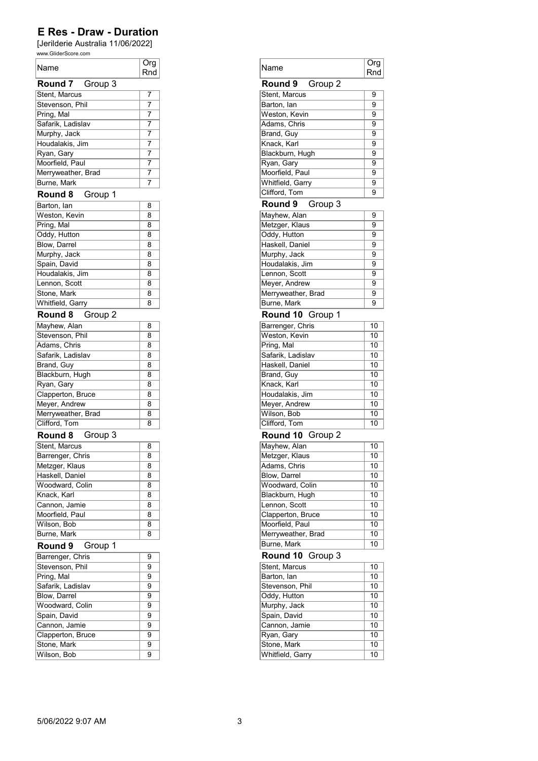| Name                            | Org<br>Rnd     |
|---------------------------------|----------------|
| Round 7<br>Group 3              |                |
| Stent, Marcus                   | 7              |
| Stevenson, Phil                 | 7              |
| Pring, Mal                      | 7              |
| Safarik, Ladislav               | 7              |
| Murphy, Jack                    | 7              |
| Houdalakis, Jim                 | 7              |
| Ryan, Gary                      | 7              |
| Moorfield, Paul                 | 7              |
| Merryweather, Brad              | 7              |
| <b>Burne, Mark</b>              | 7              |
| Round 8<br>Group 1              |                |
| Barton, lan                     | 8              |
| Weston, Kevin                   | 8              |
| Pring, Mal                      | 8              |
| Oddy, Hutton                    | 8              |
| Blow, Darrel<br>Murphy, Jack    | 8<br>8         |
| Spain, David                    | 8              |
| Houdalakis, Jim                 | 8              |
| Lennon, Scott                   | 8              |
| Stone, Mark                     | 8              |
| <b>Whitfield, Garry</b>         | 8              |
| Round 8                         |                |
| Group 2                         |                |
| Mayhew, Alan                    | 8<br>8         |
| Stevenson, Phil<br>Adams, Chris | 8              |
| Safarik, Ladislav               | 8              |
|                                 | 8              |
| Brand, Guy<br>Blackburn, Hugh   | 8              |
| Ryan, Gary                      | 8              |
| Clapperton, Bruce               | 8              |
| Meyer, Andrew                   | 8              |
| Merryweather, Brad              | 8              |
| Clifford, Tom                   | 8              |
| Group 3<br>Round 8              |                |
| Stent, Marcus                   | 8              |
| Barrenger, Chris                | 8              |
| Metzger, Klaus                  | $\overline{8}$ |
| Haskell, Daniel                 | 8              |
| Woodward, Colin                 | 8              |
| Knack, Karl                     | 8              |
| Cannon, Jamie                   | 8              |
| Moorfield, Paul                 | 8              |
| Wilson, Bob                     | 8              |
| Burne, Mark                     | 8              |
| Round 9<br>Group 1              |                |
| Barrenger, Chris                | 9              |
| Stevenson, Phil                 | 9              |
| Pring, Mal                      | 9              |
| Safarik, Ladislav               | 9              |
| <b>Blow, Darrel</b>             | 9              |
| Woodward, Colin                 | 9              |
| Spain, David                    | 9              |
| Cannon, Jamie                   | 9              |
| Clapperton, Bruce               | 9              |
| Stone, Mark                     | 9              |
| Wilson, Bob                     | 9              |

| Org<br>Rnd     | Name                            | Org<br>Rnd      |
|----------------|---------------------------------|-----------------|
|                | Group 2<br><b>Round 9</b>       |                 |
| 7              | Stent, Marcus                   | 9               |
| 7              | Barton, lan                     | 9               |
| 7              | Weston, Kevin                   | 9               |
| 7              | Adams, Chris                    | 9               |
| $\overline{7}$ | Brand, Guy                      | 9               |
| $\overline{7}$ | Knack, Karl                     | 9               |
| 7              | Blackburn, Hugh                 | 9               |
|                |                                 |                 |
| 7              | Ryan, Gary                      | 9               |
| 7              | Moorfield, Paul                 | 9               |
| 7              | Whitfield, Garry                | 9               |
|                | Clifford, Tom                   | 9               |
| 8              | Round 9<br>Group 3              |                 |
| 8              | Mayhew, Alan                    | 9               |
| 8              | Metzger, Klaus                  | 9               |
| 8              | Oddy, Hutton                    | 9               |
| 8              | Haskell, Daniel                 | 9               |
| 8              | Murphy, Jack                    | 9               |
| 8              | Houdalakis, Jim                 | 9               |
|                |                                 |                 |
| 8              | Lennon, Scott                   | 9               |
| 8              | Meyer, Andrew                   | 9               |
| 8              | Merryweather, Brad              | 9               |
| 8              | Burne, Mark                     | 9               |
|                | Round 10 Group 1                |                 |
| 8              | Barrenger, Chris                | 10              |
| 8              | Weston, Kevin                   | 10              |
| 8              | Pring, Mal                      | 10              |
| 8              | Safarik, Ladislav               | 10              |
| 8              | Haskell, Daniel                 | 10              |
| 8              | Brand, Guy                      | 10              |
| 8              |                                 |                 |
|                | Knack, Karl                     | 10              |
| 8              | Houdalakis, Jim                 | 10              |
| 8              | Meyer, Andrew                   | 10              |
| 8              | Wilson, Bob                     | 10              |
| 8              | Clifford, Tom                   | 10              |
|                | Round 10 Group 2                |                 |
| 8              | Mayhew, Alan                    | 10              |
| 8              | Metzger, Klaus                  | 10              |
| 8              | Adams, Chris                    | $\overline{10}$ |
| 8              | Blow, Darrel                    | 10              |
| 8              | Woodward, Colin                 | 10              |
|                |                                 |                 |
| 8              | Blackburn, Hugh                 | 10              |
| 8              | Lennon, Scott                   | 10              |
| 8              | Clapperton, Bruce               | 10              |
| 8              | Moorfield, Paul                 | 10              |
| 8              | Merryweather, Brad              | 10              |
|                | Burne, Mark                     | 10              |
| 9              | Round 10<br>Group 3             |                 |
| 9              | Stent, Marcus                   | 10              |
|                | Barton, lan                     | 10              |
|                | Stevenson, Phil                 | 10              |
| 9              | Oddy, Hutton                    | 10              |
| 9              |                                 | 10              |
| 9              |                                 |                 |
| 9              | Murphy, Jack                    |                 |
| 9              | Spain, David                    | 10              |
| 9              | Cannon, Jamie                   | 10              |
| 9              | Ryan, Gary                      | 10              |
| 9<br>9         | Stone, Mark<br>Whitfield, Garry | 10<br>10        |